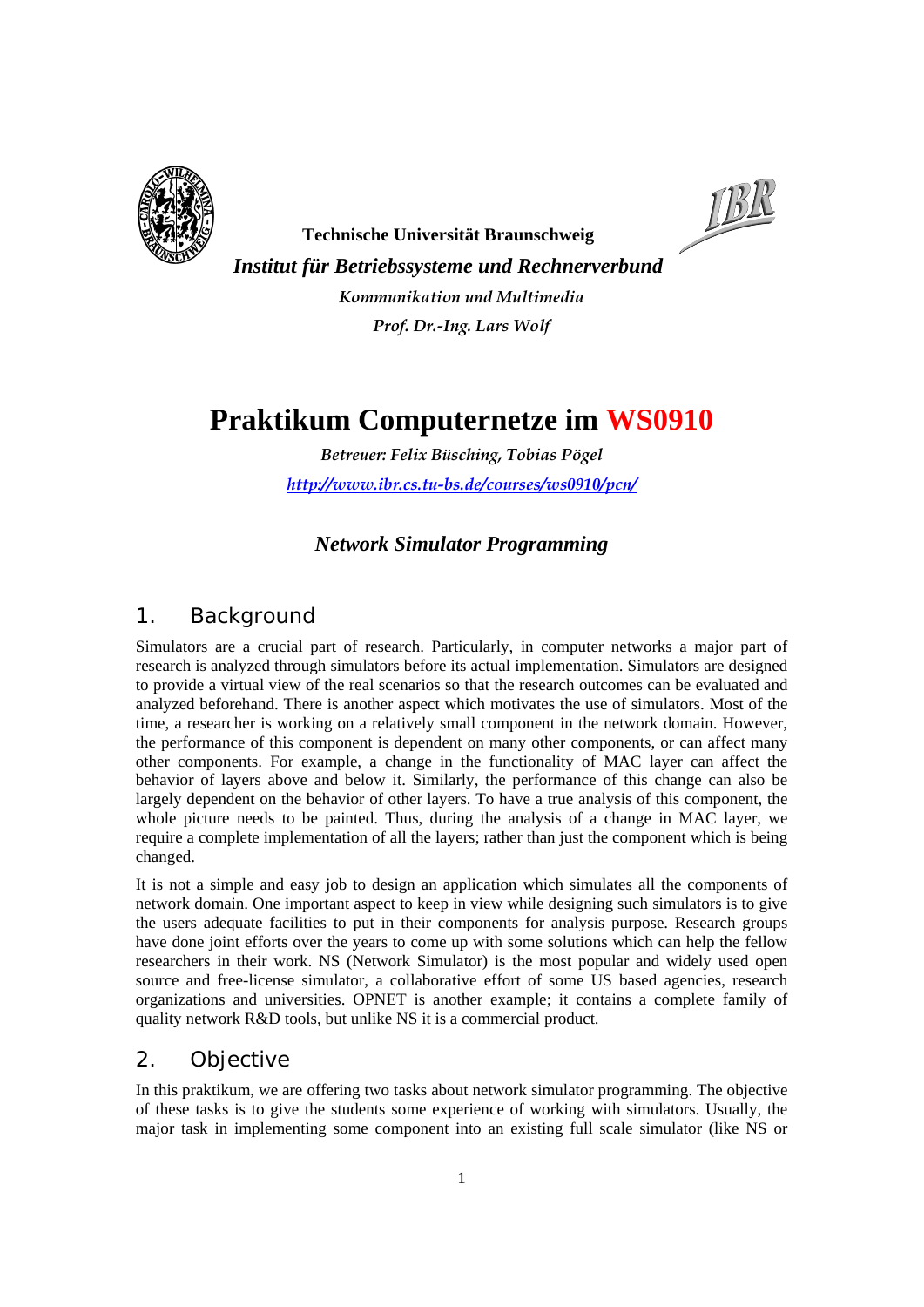



**Technische Universität Braunschweig**  *Institut für Betriebssysteme und Rechnerverbund Kommunikation und Multimedia Prof. Dr.-Ing. Lars Wolf* 

# **Praktikum Computernetze im WS0910**

*Betreuer: Felix Büsching, Tobias Pögel http://www.ibr.cs.tu-bs.de/courses/ws0910/pcn/*

#### *Network Simulator Programming*

## *1. Background*

Simulators are a crucial part of research. Particularly, in computer networks a major part of research is analyzed through simulators before its actual implementation. Simulators are designed to provide a virtual view of the real scenarios so that the research outcomes can be evaluated and analyzed beforehand. There is another aspect which motivates the use of simulators. Most of the time, a researcher is working on a relatively small component in the network domain. However, the performance of this component is dependent on many other components, or can affect many other components. For example, a change in the functionality of MAC layer can affect the behavior of layers above and below it. Similarly, the performance of this change can also be largely dependent on the behavior of other layers. To have a true analysis of this component, the whole picture needs to be painted. Thus, during the analysis of a change in MAC layer, we require a complete implementation of all the layers; rather than just the component which is being changed.

It is not a simple and easy job to design an application which simulates all the components of network domain. One important aspect to keep in view while designing such simulators is to give the users adequate facilities to put in their components for analysis purpose. Research groups have done joint efforts over the years to come up with some solutions which can help the fellow researchers in their work. NS (Network Simulator) is the most popular and widely used open source and free-license simulator, a collaborative effort of some US based agencies, research organizations and universities. OPNET is another example; it contains a complete family of quality network R&D tools, but unlike NS it is a commercial product.

### *2. Objective*

In this praktikum, we are offering two tasks about network simulator programming. The objective of these tasks is to give the students some experience of working with simulators. Usually, the major task in implementing some component into an existing full scale simulator (like NS or